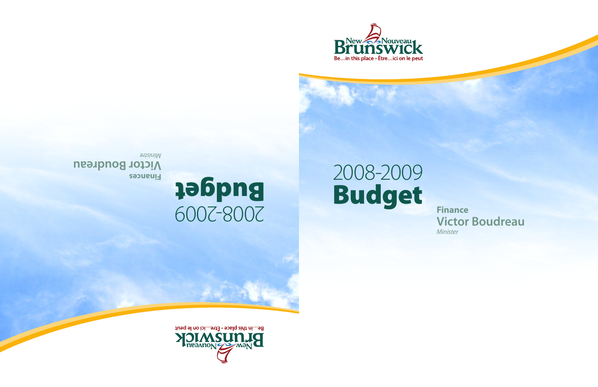

# 2008-2009 Budget Finance

**Victor Boudreau** Minister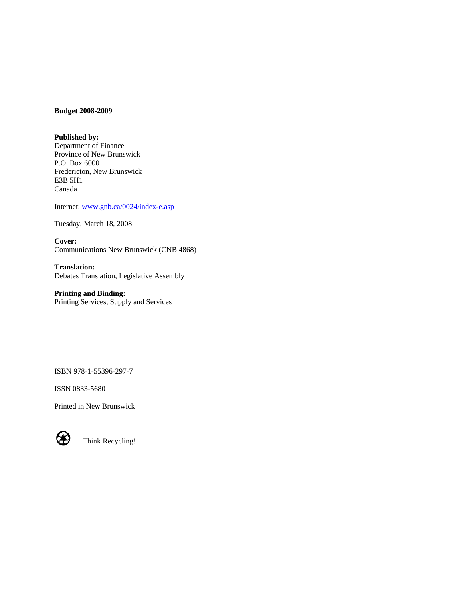#### **Budget 2008-2009**

**Published by:**  Department of Finance Province of New Brunswick P.O. Box 6000 Fredericton, New Brunswick E3B 5H1 Canada

Internet: [www.gnb.ca/0024/index-e.asp](http://www.gnb.ca/0024/index-e.asp)

Tuesday, March 18, 2008

**Cover:**  Communications New Brunswick (CNB 4868)

**Translation:**  Debates Translation, Legislative Assembly

**Printing and Binding:**  Printing Services, Supply and Services

ISBN 978-1-55396-297-7

ISSN 0833-5680

Printed in New Brunswick



Think Recycling!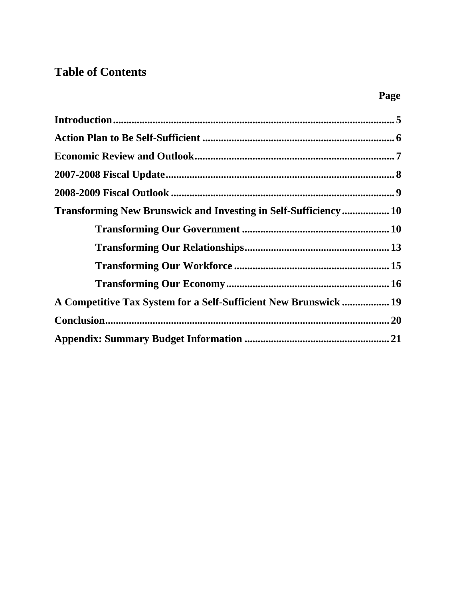# **Table of Contents**

| Transforming New Brunswick and Investing in Self-Sufficiency 10  |  |
|------------------------------------------------------------------|--|
|                                                                  |  |
|                                                                  |  |
|                                                                  |  |
|                                                                  |  |
| A Competitive Tax System for a Self-Sufficient New Brunswick  19 |  |
|                                                                  |  |
|                                                                  |  |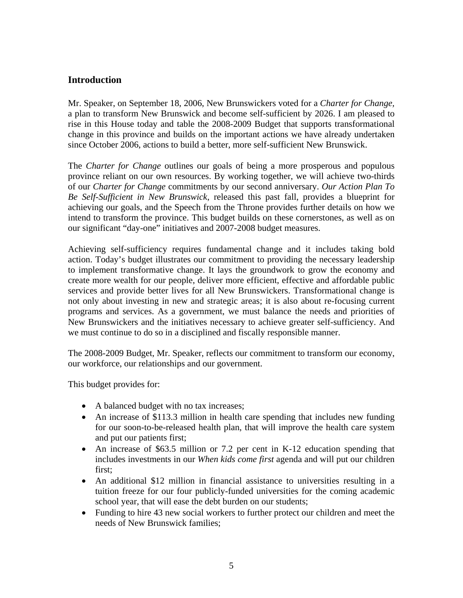## <span id="page-4-0"></span>**Introduction**

Mr. Speaker, on September 18, 2006, New Brunswickers voted for a *Charter for Change,* a plan to transform New Brunswick and become self-sufficient by 2026. I am pleased to rise in this House today and table the 2008-2009 Budget that supports transformational change in this province and builds on the important actions we have already undertaken since October 2006, actions to build a better, more self-sufficient New Brunswick.

The *Charter for Change* outlines our goals of being a more prosperous and populous province reliant on our own resources. By working together, we will achieve two-thirds of our *Charter for Change* commitments by our second anniversary. *Our Action Plan To Be Self-Sufficient in New Brunswick*, released this past fall, provides a blueprint for achieving our goals, and the Speech from the Throne provides further details on how we intend to transform the province. This budget builds on these cornerstones, as well as on our significant "day-one" initiatives and 2007-2008 budget measures.

Achieving self-sufficiency requires fundamental change and it includes taking bold action. Today's budget illustrates our commitment to providing the necessary leadership to implement transformative change. It lays the groundwork to grow the economy and create more wealth for our people, deliver more efficient, effective and affordable public services and provide better lives for all New Brunswickers. Transformational change is not only about investing in new and strategic areas; it is also about re-focusing current programs and services. As a government, we must balance the needs and priorities of New Brunswickers and the initiatives necessary to achieve greater self-sufficiency. And we must continue to do so in a disciplined and fiscally responsible manner.

The 2008-2009 Budget, Mr. Speaker, reflects our commitment to transform our economy, our workforce, our relationships and our government.

This budget provides for:

- A balanced budget with no tax increases;
- An increase of \$113.3 million in health care spending that includes new funding for our soon-to-be-released health plan, that will improve the health care system and put our patients first;
- An increase of \$63.5 million or 7.2 per cent in K-12 education spending that includes investments in our *When kids come first* agenda and will put our children first;
- An additional \$12 million in financial assistance to universities resulting in a tuition freeze for our four publicly-funded universities for the coming academic school year, that will ease the debt burden on our students;
- Funding to hire 43 new social workers to further protect our children and meet the needs of New Brunswick families;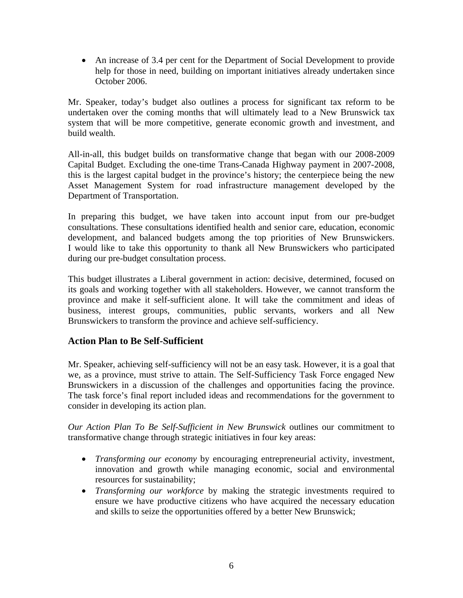<span id="page-5-0"></span>• An increase of 3.4 per cent for the Department of Social Development to provide help for those in need, building on important initiatives already undertaken since October 2006.

Mr. Speaker, today's budget also outlines a process for significant tax reform to be undertaken over the coming months that will ultimately lead to a New Brunswick tax system that will be more competitive, generate economic growth and investment, and build wealth.

All-in-all, this budget builds on transformative change that began with our 2008-2009 Capital Budget. Excluding the one-time Trans-Canada Highway payment in 2007-2008, this is the largest capital budget in the province's history; the centerpiece being the new Asset Management System for road infrastructure management developed by the Department of Transportation.

In preparing this budget, we have taken into account input from our pre-budget consultations. These consultations identified health and senior care, education, economic development, and balanced budgets among the top priorities of New Brunswickers. I would like to take this opportunity to thank all New Brunswickers who participated during our pre-budget consultation process.

This budget illustrates a Liberal government in action: decisive, determined, focused on its goals and working together with all stakeholders. However, we cannot transform the province and make it self-sufficient alone. It will take the commitment and ideas of business, interest groups, communities, public servants, workers and all New Brunswickers to transform the province and achieve self-sufficiency.

## **Action Plan to Be Self-Sufficient**

Mr. Speaker, achieving self-sufficiency will not be an easy task. However, it is a goal that we, as a province, must strive to attain. The Self-Sufficiency Task Force engaged New Brunswickers in a discussion of the challenges and opportunities facing the province. The task force's final report included ideas and recommendations for the government to consider in developing its action plan.

*Our Action Plan To Be Self-Sufficient in New Brunswick* outlines our commitment to transformative change through strategic initiatives in four key areas:

- *Transforming our economy* by encouraging entrepreneurial activity, investment, innovation and growth while managing economic, social and environmental resources for sustainability;
- *Transforming our workforce* by making the strategic investments required to ensure we have productive citizens who have acquired the necessary education and skills to seize the opportunities offered by a better New Brunswick;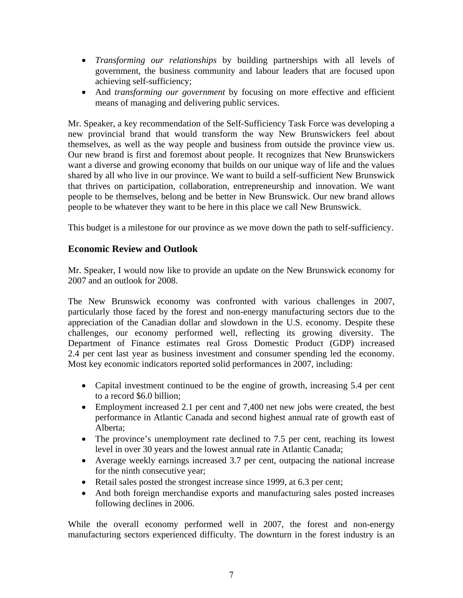- <span id="page-6-0"></span>• *Transforming our relationships* by building partnerships with all levels of government, the business community and labour leaders that are focused upon achieving self-sufficiency;
- And *transforming our government* by focusing on more effective and efficient means of managing and delivering public services.

Mr. Speaker, a key recommendation of the Self-Sufficiency Task Force was developing a new provincial brand that would transform the way New Brunswickers feel about themselves, as well as the way people and business from outside the province view us. Our new brand is first and foremost about people. It recognizes that New Brunswickers want a diverse and growing economy that builds on our unique way of life and the values shared by all who live in our province. We want to build a self-sufficient New Brunswick that thrives on participation, collaboration, entrepreneurship and innovation. We want people to be themselves, belong and be better in New Brunswick. Our new brand allows people to be whatever they want to be here in this place we call New Brunswick.

This budget is a milestone for our province as we move down the path to self-sufficiency.

## **Economic Review and Outlook**

Mr. Speaker, I would now like to provide an update on the New Brunswick economy for 2007 and an outlook for 2008.

The New Brunswick economy was confronted with various challenges in 2007, particularly those faced by the forest and non-energy manufacturing sectors due to the appreciation of the Canadian dollar and slowdown in the U.S. economy. Despite these challenges, our economy performed well, reflecting its growing diversity. The Department of Finance estimates real Gross Domestic Product (GDP) increased 2.4 per cent last year as business investment and consumer spending led the economy. Most key economic indicators reported solid performances in 2007, including:

- Capital investment continued to be the engine of growth, increasing 5.4 per cent to a record \$6.0 billion;
- Employment increased 2.1 per cent and 7,400 net new jobs were created, the best performance in Atlantic Canada and second highest annual rate of growth east of Alberta;
- The province's unemployment rate declined to 7.5 per cent, reaching its lowest level in over 30 years and the lowest annual rate in Atlantic Canada;
- Average weekly earnings increased 3.7 per cent, outpacing the national increase for the ninth consecutive year;
- Retail sales posted the strongest increase since 1999, at 6.3 per cent;
- And both foreign merchandise exports and manufacturing sales posted increases following declines in 2006.

While the overall economy performed well in 2007, the forest and non-energy manufacturing sectors experienced difficulty. The downturn in the forest industry is an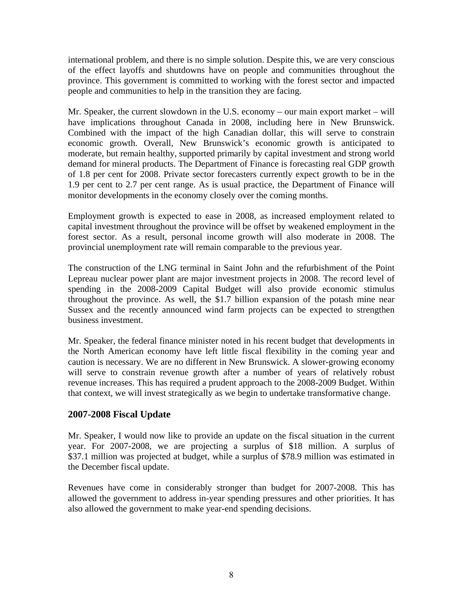<span id="page-7-0"></span>international problem, and there is no simple solution. Despite this, we are very conscious of the effect layoffs and shutdowns have on people and communities throughout the province. This government is committed to working with the forest sector and impacted people and communities to help in the transition they are facing.

Mr. Speaker, the current slowdown in the U.S. economy – our main export market – will have implications throughout Canada in 2008, including here in New Brunswick. Combined with the impact of the high Canadian dollar, this will serve to constrain economic growth. Overall, New Brunswick's economic growth is anticipated to moderate, but remain healthy, supported primarily by capital investment and strong world demand for mineral products. The Department of Finance is forecasting real GDP growth of 1.8 per cent for 2008. Private sector forecasters currently expect growth to be in the 1.9 per cent to 2.7 per cent range. As is usual practice, the Department of Finance will monitor developments in the economy closely over the coming months.

Employment growth is expected to ease in 2008, as increased employment related to capital investment throughout the province will be offset by weakened employment in the forest sector. As a result, personal income growth will also moderate in 2008. The provincial unemployment rate will remain comparable to the previous year.

The construction of the LNG terminal in Saint John and the refurbishment of the Point Lepreau nuclear power plant are major investment projects in 2008. The record level of spending in the 2008-2009 Capital Budget will also provide economic stimulus throughout the province. As well, the \$1.7 billion expansion of the potash mine near Sussex and the recently announced wind farm projects can be expected to strengthen business investment.

Mr. Speaker, the federal finance minister noted in his recent budget that developments in the North American economy have left little fiscal flexibility in the coming year and caution is necessary. We are no different in New Brunswick. A slower-growing economy will serve to constrain revenue growth after a number of years of relatively robust revenue increases. This has required a prudent approach to the 2008-2009 Budget. Within that context, we will invest strategically as we begin to undertake transformative change.

## **2007-2008 Fiscal Update**

Mr. Speaker, I would now like to provide an update on the fiscal situation in the current year. For 2007-2008, we are projecting a surplus of \$18 million. A surplus of \$37.1 million was projected at budget, while a surplus of \$78.9 million was estimated in the December fiscal update.

Revenues have come in considerably stronger than budget for 2007-2008. This has allowed the government to address in-year spending pressures and other priorities. It has also allowed the government to make year-end spending decisions.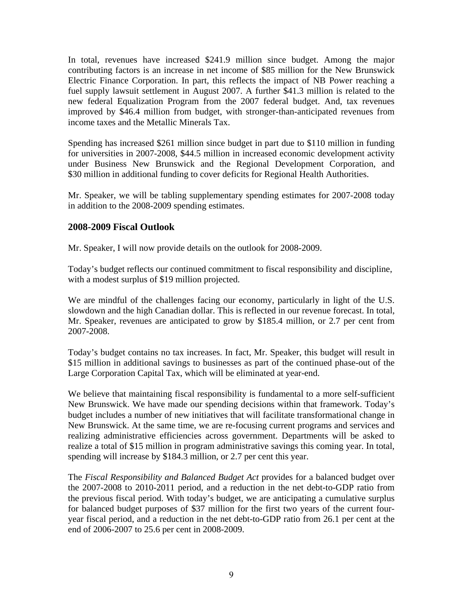<span id="page-8-0"></span>In total, revenues have increased \$241.9 million since budget. Among the major contributing factors is an increase in net income of \$85 million for the New Brunswick Electric Finance Corporation. In part, this reflects the impact of NB Power reaching a fuel supply lawsuit settlement in August 2007. A further \$41.3 million is related to the new federal Equalization Program from the 2007 federal budget. And, tax revenues improved by \$46.4 million from budget, with stronger-than-anticipated revenues from income taxes and the Metallic Minerals Tax.

Spending has increased \$261 million since budget in part due to \$110 million in funding for universities in 2007-2008, \$44.5 million in increased economic development activity under Business New Brunswick and the Regional Development Corporation, and \$30 million in additional funding to cover deficits for Regional Health Authorities.

Mr. Speaker, we will be tabling supplementary spending estimates for 2007-2008 today in addition to the 2008-2009 spending estimates.

## **2008-2009 Fiscal Outlook**

Mr. Speaker, I will now provide details on the outlook for 2008-2009.

Today's budget reflects our continued commitment to fiscal responsibility and discipline, with a modest surplus of \$19 million projected.

We are mindful of the challenges facing our economy, particularly in light of the U.S. slowdown and the high Canadian dollar. This is reflected in our revenue forecast. In total, Mr. Speaker, revenues are anticipated to grow by \$185.4 million, or 2.7 per cent from 2007-2008.

Today's budget contains no tax increases. In fact, Mr. Speaker, this budget will result in \$15 million in additional savings to businesses as part of the continued phase-out of the Large Corporation Capital Tax, which will be eliminated at year-end.

We believe that maintaining fiscal responsibility is fundamental to a more self-sufficient New Brunswick. We have made our spending decisions within that framework. Today's budget includes a number of new initiatives that will facilitate transformational change in New Brunswick. At the same time, we are re-focusing current programs and services and realizing administrative efficiencies across government. Departments will be asked to realize a total of \$15 million in program administrative savings this coming year. In total, spending will increase by \$184.3 million, or 2.7 per cent this year.

The *Fiscal Responsibility and Balanced Budget Act* provides for a balanced budget over the 2007-2008 to 2010-2011 period, and a reduction in the net debt-to-GDP ratio from the previous fiscal period. With today's budget, we are anticipating a cumulative surplus for balanced budget purposes of \$37 million for the first two years of the current fouryear fiscal period, and a reduction in the net debt-to-GDP ratio from 26.1 per cent at the end of 2006-2007 to 25.6 per cent in 2008-2009.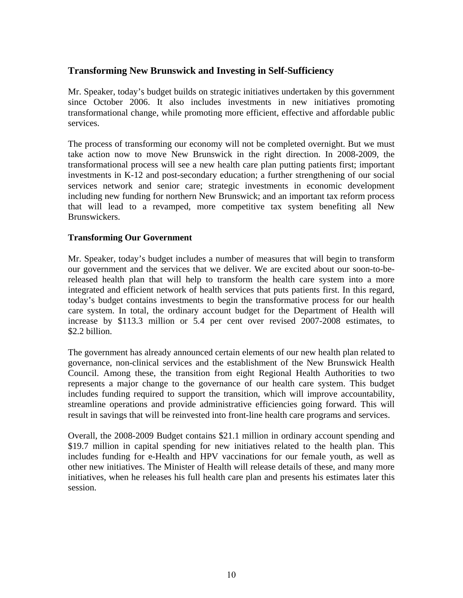## <span id="page-9-0"></span>**Transforming New Brunswick and Investing in Self-Sufficiency**

Mr. Speaker, today's budget builds on strategic initiatives undertaken by this government since October 2006. It also includes investments in new initiatives promoting transformational change, while promoting more efficient, effective and affordable public services.

The process of transforming our economy will not be completed overnight. But we must take action now to move New Brunswick in the right direction. In 2008-2009, the transformational process will see a new health care plan putting patients first; important investments in K-12 and post-secondary education; a further strengthening of our social services network and senior care; strategic investments in economic development including new funding for northern New Brunswick; and an important tax reform process that will lead to a revamped, more competitive tax system benefiting all New Brunswickers.

### **Transforming Our Government**

Mr. Speaker, today's budget includes a number of measures that will begin to transform our government and the services that we deliver. We are excited about our soon-to-bereleased health plan that will help to transform the health care system into a more integrated and efficient network of health services that puts patients first. In this regard, today's budget contains investments to begin the transformative process for our health care system. In total, the ordinary account budget for the Department of Health will increase by \$113.3 million or 5.4 per cent over revised 2007-2008 estimates, to \$2.2 billion.

The government has already announced certain elements of our new health plan related to governance, non-clinical services and the establishment of the New Brunswick Health Council. Among these, the transition from eight Regional Health Authorities to two represents a major change to the governance of our health care system. This budget includes funding required to support the transition, which will improve accountability, streamline operations and provide administrative efficiencies going forward. This will result in savings that will be reinvested into front-line health care programs and services.

Overall, the 2008-2009 Budget contains \$21.1 million in ordinary account spending and \$19.7 million in capital spending for new initiatives related to the health plan. This includes funding for e-Health and HPV vaccinations for our female youth, as well as other new initiatives. The Minister of Health will release details of these, and many more initiatives, when he releases his full health care plan and presents his estimates later this session.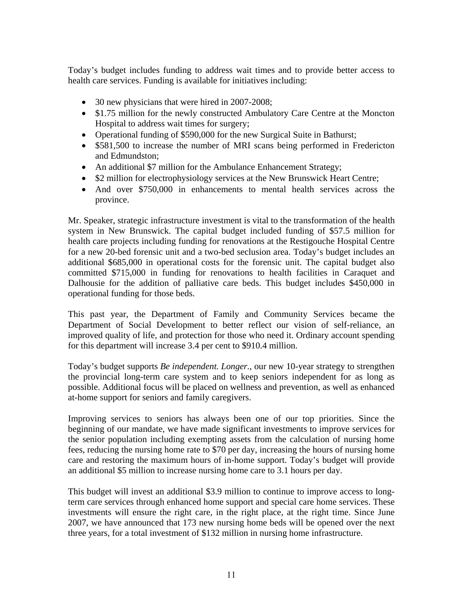Today's budget includes funding to address wait times and to provide better access to health care services. Funding is available for initiatives including:

- 30 new physicians that were hired in 2007-2008;
- \$1.75 million for the newly constructed Ambulatory Care Centre at the Moncton Hospital to address wait times for surgery;
- Operational funding of \$590,000 for the new Surgical Suite in Bathurst;
- \$581,500 to increase the number of MRI scans being performed in Fredericton and Edmundston;
- An additional \$7 million for the Ambulance Enhancement Strategy;
- \$2 million for electrophysiology services at the New Brunswick Heart Centre;
- And over \$750,000 in enhancements to mental health services across the province.

Mr. Speaker, strategic infrastructure investment is vital to the transformation of the health system in New Brunswick. The capital budget included funding of \$57.5 million for health care projects including funding for renovations at the Restigouche Hospital Centre for a new 20-bed forensic unit and a two-bed seclusion area. Today's budget includes an additional \$685,000 in operational costs for the forensic unit. The capital budget also committed \$715,000 in funding for renovations to health facilities in Caraquet and Dalhousie for the addition of palliative care beds. This budget includes \$450,000 in operational funding for those beds.

This past year, the Department of Family and Community Services became the Department of Social Development to better reflect our vision of self-reliance, an improved quality of life, and protection for those who need it. Ordinary account spending for this department will increase 3.4 per cent to \$910.4 million.

Today's budget supports *Be independent. Longer.*, our new 10-year strategy to strengthen the provincial long-term care system and to keep seniors independent for as long as possible. Additional focus will be placed on wellness and prevention, as well as enhanced at-home support for seniors and family caregivers.

Improving services to seniors has always been one of our top priorities. Since the beginning of our mandate, we have made significant investments to improve services for the senior population including exempting assets from the calculation of nursing home fees, reducing the nursing home rate to \$70 per day, increasing the hours of nursing home care and restoring the maximum hours of in-home support. Today's budget will provide an additional \$5 million to increase nursing home care to 3.1 hours per day.

This budget will invest an additional \$3.9 million to continue to improve access to longterm care services through enhanced home support and special care home services. These investments will ensure the right care, in the right place, at the right time. Since June 2007, we have announced that 173 new nursing home beds will be opened over the next three years, for a total investment of \$132 million in nursing home infrastructure.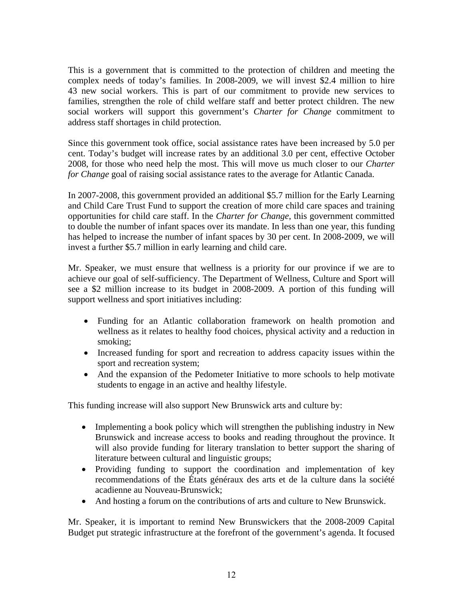This is a government that is committed to the protection of children and meeting the complex needs of today's families. In 2008-2009, we will invest \$2.4 million to hire 43 new social workers. This is part of our commitment to provide new services to families, strengthen the role of child welfare staff and better protect children. The new social workers will support this government's *Charter for Change* commitment to address staff shortages in child protection.

Since this government took office, social assistance rates have been increased by 5.0 per cent. Today's budget will increase rates by an additional 3.0 per cent, effective October 2008, for those who need help the most. This will move us much closer to our *Charter for Change* goal of raising social assistance rates to the average for Atlantic Canada.

In 2007-2008, this government provided an additional \$5.7 million for the Early Learning and Child Care Trust Fund to support the creation of more child care spaces and training opportunities for child care staff. In the *Charter for Change*, this government committed to double the number of infant spaces over its mandate. In less than one year, this funding has helped to increase the number of infant spaces by 30 per cent. In 2008-2009, we will invest a further \$5.7 million in early learning and child care.

Mr. Speaker, we must ensure that wellness is a priority for our province if we are to achieve our goal of self-sufficiency. The Department of Wellness, Culture and Sport will see a \$2 million increase to its budget in 2008-2009. A portion of this funding will support wellness and sport initiatives including:

- Funding for an Atlantic collaboration framework on health promotion and wellness as it relates to healthy food choices, physical activity and a reduction in smoking;
- Increased funding for sport and recreation to address capacity issues within the sport and recreation system;
- And the expansion of the Pedometer Initiative to more schools to help motivate students to engage in an active and healthy lifestyle.

This funding increase will also support New Brunswick arts and culture by:

- Implementing a book policy which will strengthen the publishing industry in New Brunswick and increase access to books and reading throughout the province. It will also provide funding for literary translation to better support the sharing of literature between cultural and linguistic groups;
- Providing funding to support the coordination and implementation of key recommendations of the États généraux des arts et de la culture dans la société acadienne au Nouveau-Brunswick;
- And hosting a forum on the contributions of arts and culture to New Brunswick.

Mr. Speaker, it is important to remind New Brunswickers that the 2008-2009 Capital Budget put strategic infrastructure at the forefront of the government's agenda. It focused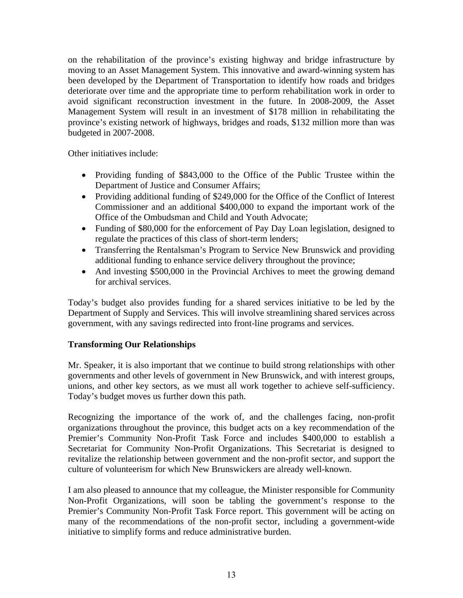<span id="page-12-0"></span>on the rehabilitation of the province's existing highway and bridge infrastructure by moving to an Asset Management System. This innovative and award-winning system has been developed by the Department of Transportation to identify how roads and bridges deteriorate over time and the appropriate time to perform rehabilitation work in order to avoid significant reconstruction investment in the future. In 2008-2009, the Asset Management System will result in an investment of \$178 million in rehabilitating the province's existing network of highways, bridges and roads, \$132 million more than was budgeted in 2007-2008.

Other initiatives include:

- Providing funding of \$843,000 to the Office of the Public Trustee within the Department of Justice and Consumer Affairs;
- Providing additional funding of \$249,000 for the Office of the Conflict of Interest Commissioner and an additional \$400,000 to expand the important work of the Office of the Ombudsman and Child and Youth Advocate;
- Funding of \$80,000 for the enforcement of Pay Day Loan legislation, designed to regulate the practices of this class of short-term lenders;
- Transferring the Rentalsman's Program to Service New Brunswick and providing additional funding to enhance service delivery throughout the province;
- And investing \$500,000 in the Provincial Archives to meet the growing demand for archival services.

Today's budget also provides funding for a shared services initiative to be led by the Department of Supply and Services. This will involve streamlining shared services across government, with any savings redirected into front-line programs and services.

## **Transforming Our Relationships**

Mr. Speaker, it is also important that we continue to build strong relationships with other governments and other levels of government in New Brunswick, and with interest groups, unions, and other key sectors, as we must all work together to achieve self-sufficiency. Today's budget moves us further down this path.

Recognizing the importance of the work of, and the challenges facing, non-profit organizations throughout the province, this budget acts on a key recommendation of the Premier's Community Non-Profit Task Force and includes \$400,000 to establish a Secretariat for Community Non-Profit Organizations. This Secretariat is designed to revitalize the relationship between government and the non-profit sector, and support the culture of volunteerism for which New Brunswickers are already well-known.

I am also pleased to announce that my colleague, the Minister responsible for Community Non-Profit Organizations, will soon be tabling the government's response to the Premier's Community Non-Profit Task Force report. This government will be acting on many of the recommendations of the non-profit sector, including a government-wide initiative to simplify forms and reduce administrative burden.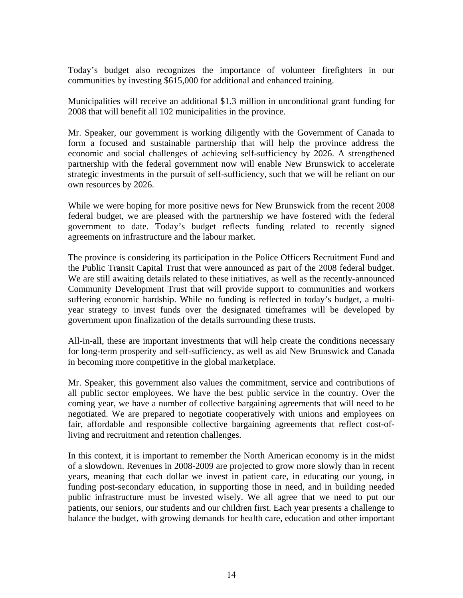Today's budget also recognizes the importance of volunteer firefighters in our communities by investing \$615,000 for additional and enhanced training.

Municipalities will receive an additional \$1.3 million in unconditional grant funding for 2008 that will benefit all 102 municipalities in the province.

Mr. Speaker, our government is working diligently with the Government of Canada to form a focused and sustainable partnership that will help the province address the economic and social challenges of achieving self-sufficiency by 2026. A strengthened partnership with the federal government now will enable New Brunswick to accelerate strategic investments in the pursuit of self-sufficiency, such that we will be reliant on our own resources by 2026.

While we were hoping for more positive news for New Brunswick from the recent 2008 federal budget, we are pleased with the partnership we have fostered with the federal government to date. Today's budget reflects funding related to recently signed agreements on infrastructure and the labour market.

The province is considering its participation in the Police Officers Recruitment Fund and the Public Transit Capital Trust that were announced as part of the 2008 federal budget. We are still awaiting details related to these initiatives, as well as the recently-announced Community Development Trust that will provide support to communities and workers suffering economic hardship. While no funding is reflected in today's budget, a multiyear strategy to invest funds over the designated timeframes will be developed by government upon finalization of the details surrounding these trusts.

All-in-all, these are important investments that will help create the conditions necessary for long-term prosperity and self-sufficiency, as well as aid New Brunswick and Canada in becoming more competitive in the global marketplace.

Mr. Speaker, this government also values the commitment, service and contributions of all public sector employees. We have the best public service in the country. Over the coming year, we have a number of collective bargaining agreements that will need to be negotiated. We are prepared to negotiate cooperatively with unions and employees on fair, affordable and responsible collective bargaining agreements that reflect cost-ofliving and recruitment and retention challenges.

In this context, it is important to remember the North American economy is in the midst of a slowdown. Revenues in 2008-2009 are projected to grow more slowly than in recent years, meaning that each dollar we invest in patient care, in educating our young, in funding post-secondary education, in supporting those in need, and in building needed public infrastructure must be invested wisely. We all agree that we need to put our patients, our seniors, our students and our children first. Each year presents a challenge to balance the budget, with growing demands for health care, education and other important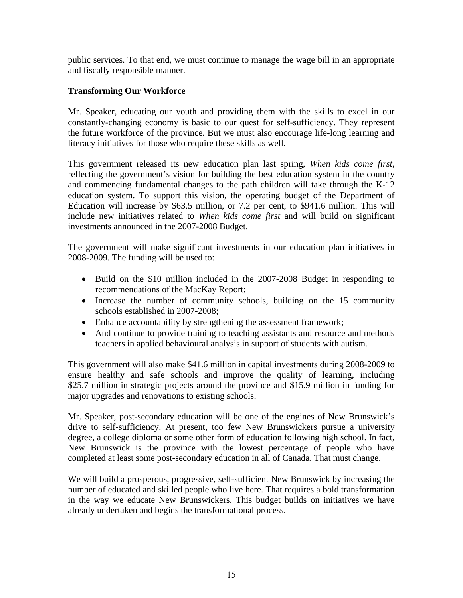<span id="page-14-0"></span>public services. To that end, we must continue to manage the wage bill in an appropriate and fiscally responsible manner.

## **Transforming Our Workforce**

Mr. Speaker, educating our youth and providing them with the skills to excel in our constantly-changing economy is basic to our quest for self-sufficiency. They represent the future workforce of the province. But we must also encourage life-long learning and literacy initiatives for those who require these skills as well.

This government released its new education plan last spring, *When kids come first*, reflecting the government's vision for building the best education system in the country and commencing fundamental changes to the path children will take through the K-12 education system. To support this vision, the operating budget of the Department of Education will increase by \$63.5 million, or 7.2 per cent, to \$941.6 million. This will include new initiatives related to *When kids come first* and will build on significant investments announced in the 2007-2008 Budget.

The government will make significant investments in our education plan initiatives in 2008-2009. The funding will be used to:

- Build on the \$10 million included in the 2007-2008 Budget in responding to recommendations of the MacKay Report;
- Increase the number of community schools, building on the 15 community schools established in 2007-2008;
- Enhance accountability by strengthening the assessment framework;
- And continue to provide training to teaching assistants and resource and methods teachers in applied behavioural analysis in support of students with autism.

This government will also make \$41.6 million in capital investments during 2008-2009 to ensure healthy and safe schools and improve the quality of learning, including \$25.7 million in strategic projects around the province and \$15.9 million in funding for major upgrades and renovations to existing schools.

Mr. Speaker, post-secondary education will be one of the engines of New Brunswick's drive to self-sufficiency. At present, too few New Brunswickers pursue a university degree, a college diploma or some other form of education following high school. In fact, New Brunswick is the province with the lowest percentage of people who have completed at least some post-secondary education in all of Canada. That must change.

We will build a prosperous, progressive, self-sufficient New Brunswick by increasing the number of educated and skilled people who live here. That requires a bold transformation in the way we educate New Brunswickers. This budget builds on initiatives we have already undertaken and begins the transformational process.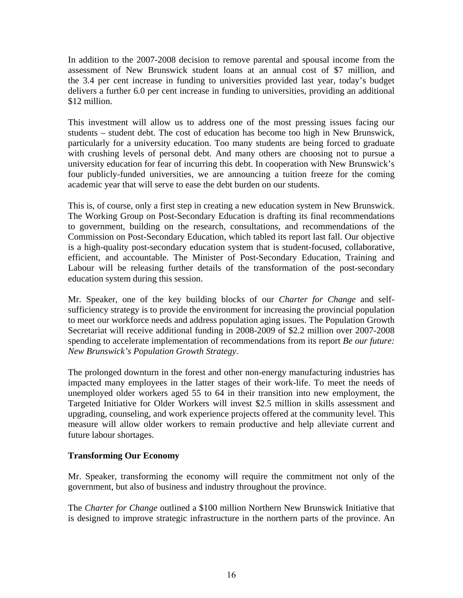<span id="page-15-0"></span>In addition to the 2007-2008 decision to remove parental and spousal income from the assessment of New Brunswick student loans at an annual cost of \$7 million, and the 3.4 per cent increase in funding to universities provided last year, today's budget delivers a further 6.0 per cent increase in funding to universities, providing an additional \$12 million.

This investment will allow us to address one of the most pressing issues facing our students – student debt. The cost of education has become too high in New Brunswick, particularly for a university education. Too many students are being forced to graduate with crushing levels of personal debt. And many others are choosing not to pursue a university education for fear of incurring this debt. In cooperation with New Brunswick's four publicly-funded universities, we are announcing a tuition freeze for the coming academic year that will serve to ease the debt burden on our students.

This is, of course, only a first step in creating a new education system in New Brunswick. The Working Group on Post-Secondary Education is drafting its final recommendations to government, building on the research, consultations, and recommendations of the Commission on Post-Secondary Education, which tabled its report last fall. Our objective is a high-quality post-secondary education system that is student-focused, collaborative, efficient, and accountable. The Minister of Post-Secondary Education, Training and Labour will be releasing further details of the transformation of the post-secondary education system during this session.

Mr. Speaker, one of the key building blocks of our *Charter for Change* and selfsufficiency strategy is to provide the environment for increasing the provincial population to meet our workforce needs and address population aging issues. The Population Growth Secretariat will receive additional funding in 2008-2009 of \$2.2 million over 2007-2008 spending to accelerate implementation of recommendations from its report *Be our future: New Brunswick's Population Growth Strategy*.

The prolonged downturn in the forest and other non-energy manufacturing industries has impacted many employees in the latter stages of their work-life. To meet the needs of unemployed older workers aged 55 to 64 in their transition into new employment, the Targeted Initiative for Older Workers will invest \$2.5 million in skills assessment and upgrading, counseling, and work experience projects offered at the community level. This measure will allow older workers to remain productive and help alleviate current and future labour shortages.

## **Transforming Our Economy**

Mr. Speaker, transforming the economy will require the commitment not only of the government, but also of business and industry throughout the province.

The *Charter for Change* outlined a \$100 million Northern New Brunswick Initiative that is designed to improve strategic infrastructure in the northern parts of the province. An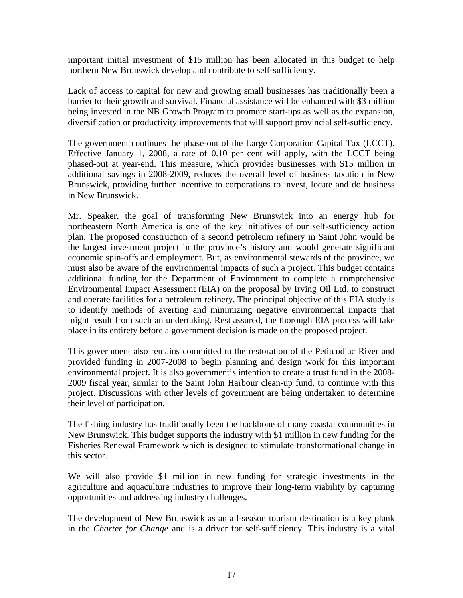important initial investment of \$15 million has been allocated in this budget to help northern New Brunswick develop and contribute to self-sufficiency.

Lack of access to capital for new and growing small businesses has traditionally been a barrier to their growth and survival. Financial assistance will be enhanced with \$3 million being invested in the NB Growth Program to promote start-ups as well as the expansion, diversification or productivity improvements that will support provincial self-sufficiency.

The government continues the phase-out of the Large Corporation Capital Tax (LCCT). Effective January 1, 2008, a rate of 0.10 per cent will apply, with the LCCT being phased-out at year-end. This measure, which provides businesses with \$15 million in additional savings in 2008-2009, reduces the overall level of business taxation in New Brunswick, providing further incentive to corporations to invest, locate and do business in New Brunswick.

Mr. Speaker, the goal of transforming New Brunswick into an energy hub for northeastern North America is one of the key initiatives of our self-sufficiency action plan. The proposed construction of a second petroleum refinery in Saint John would be the largest investment project in the province's history and would generate significant economic spin-offs and employment. But, as environmental stewards of the province, we must also be aware of the environmental impacts of such a project. This budget contains additional funding for the Department of Environment to complete a comprehensive Environmental Impact Assessment (EIA) on the proposal by Irving Oil Ltd. to construct and operate facilities for a petroleum refinery. The principal objective of this EIA study is to identify methods of averting and minimizing negative environmental impacts that might result from such an undertaking. Rest assured, the thorough EIA process will take place in its entirety before a government decision is made on the proposed project.

This government also remains committed to the restoration of the Petitcodiac River and provided funding in 2007-2008 to begin planning and design work for this important environmental project. It is also government's intention to create a trust fund in the 2008- 2009 fiscal year, similar to the Saint John Harbour clean-up fund, to continue with this project. Discussions with other levels of government are being undertaken to determine their level of participation.

The fishing industry has traditionally been the backbone of many coastal communities in New Brunswick. This budget supports the industry with \$1 million in new funding for the Fisheries Renewal Framework which is designed to stimulate transformational change in this sector.

We will also provide \$1 million in new funding for strategic investments in the agriculture and aquaculture industries to improve their long-term viability by capturing opportunities and addressing industry challenges.

The development of New Brunswick as an all-season tourism destination is a key plank in the *Charter for Change* and is a driver for self-sufficiency. This industry is a vital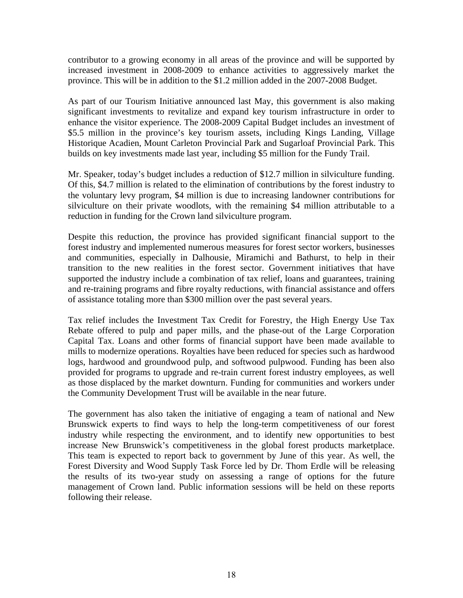contributor to a growing economy in all areas of the province and will be supported by increased investment in 2008-2009 to enhance activities to aggressively market the province. This will be in addition to the \$1.2 million added in the 2007-2008 Budget.

As part of our Tourism Initiative announced last May, this government is also making significant investments to revitalize and expand key tourism infrastructure in order to enhance the visitor experience. The 2008-2009 Capital Budget includes an investment of \$5.5 million in the province's key tourism assets, including Kings Landing, Village Historique Acadien, Mount Carleton Provincial Park and Sugarloaf Provincial Park. This builds on key investments made last year, including \$5 million for the Fundy Trail.

Mr. Speaker, today's budget includes a reduction of \$12.7 million in silviculture funding. Of this, \$4.7 million is related to the elimination of contributions by the forest industry to the voluntary levy program, \$4 million is due to increasing landowner contributions for silviculture on their private woodlots, with the remaining \$4 million attributable to a reduction in funding for the Crown land silviculture program.

Despite this reduction, the province has provided significant financial support to the forest industry and implemented numerous measures for forest sector workers, businesses and communities, especially in Dalhousie, Miramichi and Bathurst, to help in their transition to the new realities in the forest sector. Government initiatives that have supported the industry include a combination of tax relief, loans and guarantees, training and re-training programs and fibre royalty reductions, with financial assistance and offers of assistance totaling more than \$300 million over the past several years.

Tax relief includes the Investment Tax Credit for Forestry, the High Energy Use Tax Rebate offered to pulp and paper mills, and the phase-out of the Large Corporation Capital Tax. Loans and other forms of financial support have been made available to mills to modernize operations. Royalties have been reduced for species such as hardwood logs, hardwood and groundwood pulp, and softwood pulpwood. Funding has been also provided for programs to upgrade and re-train current forest industry employees, as well as those displaced by the market downturn. Funding for communities and workers under the Community Development Trust will be available in the near future.

The government has also taken the initiative of engaging a team of national and New Brunswick experts to find ways to help the long-term competitiveness of our forest industry while respecting the environment, and to identify new opportunities to best increase New Brunswick's competitiveness in the global forest products marketplace. This team is expected to report back to government by June of this year. As well, the Forest Diversity and Wood Supply Task Force led by Dr. Thom Erdle will be releasing the results of its two-year study on assessing a range of options for the future management of Crown land. Public information sessions will be held on these reports following their release.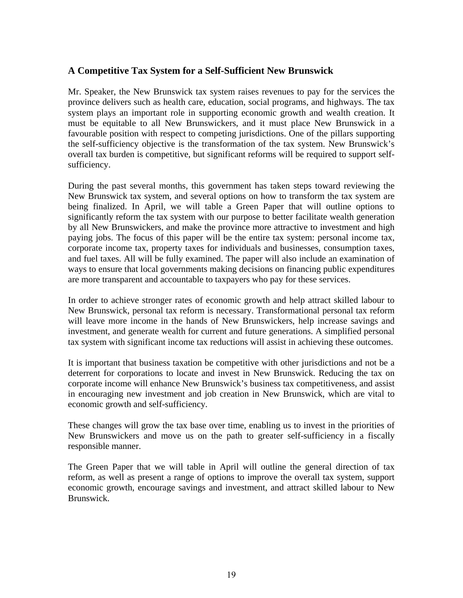## <span id="page-18-0"></span>**A Competitive Tax System for a Self-Sufficient New Brunswick**

Mr. Speaker, the New Brunswick tax system raises revenues to pay for the services the province delivers such as health care, education, social programs, and highways. The tax system plays an important role in supporting economic growth and wealth creation. It must be equitable to all New Brunswickers, and it must place New Brunswick in a favourable position with respect to competing jurisdictions. One of the pillars supporting the self-sufficiency objective is the transformation of the tax system. New Brunswick's overall tax burden is competitive, but significant reforms will be required to support selfsufficiency.

During the past several months, this government has taken steps toward reviewing the New Brunswick tax system, and several options on how to transform the tax system are being finalized. In April, we will table a Green Paper that will outline options to significantly reform the tax system with our purpose to better facilitate wealth generation by all New Brunswickers, and make the province more attractive to investment and high paying jobs. The focus of this paper will be the entire tax system: personal income tax, corporate income tax, property taxes for individuals and businesses, consumption taxes, and fuel taxes. All will be fully examined. The paper will also include an examination of ways to ensure that local governments making decisions on financing public expenditures are more transparent and accountable to taxpayers who pay for these services.

In order to achieve stronger rates of economic growth and help attract skilled labour to New Brunswick, personal tax reform is necessary. Transformational personal tax reform will leave more income in the hands of New Brunswickers, help increase savings and investment, and generate wealth for current and future generations. A simplified personal tax system with significant income tax reductions will assist in achieving these outcomes.

It is important that business taxation be competitive with other jurisdictions and not be a deterrent for corporations to locate and invest in New Brunswick. Reducing the tax on corporate income will enhance New Brunswick's business tax competitiveness, and assist in encouraging new investment and job creation in New Brunswick, which are vital to economic growth and self-sufficiency.

These changes will grow the tax base over time, enabling us to invest in the priorities of New Brunswickers and move us on the path to greater self-sufficiency in a fiscally responsible manner.

The Green Paper that we will table in April will outline the general direction of tax reform, as well as present a range of options to improve the overall tax system, support economic growth, encourage savings and investment, and attract skilled labour to New Brunswick.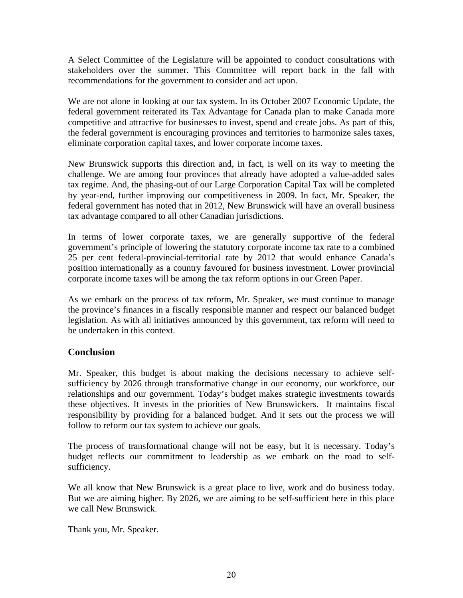<span id="page-19-0"></span>A Select Committee of the Legislature will be appointed to conduct consultations with stakeholders over the summer. This Committee will report back in the fall with recommendations for the government to consider and act upon.

We are not alone in looking at our tax system. In its October 2007 Economic Update, the federal government reiterated its Tax Advantage for Canada plan to make Canada more competitive and attractive for businesses to invest, spend and create jobs. As part of this, the federal government is encouraging provinces and territories to harmonize sales taxes, eliminate corporation capital taxes, and lower corporate income taxes.

New Brunswick supports this direction and, in fact, is well on its way to meeting the challenge. We are among four provinces that already have adopted a value-added sales tax regime. And, the phasing-out of our Large Corporation Capital Tax will be completed by year-end, further improving our competitiveness in 2009. In fact, Mr. Speaker, the federal government has noted that in 2012, New Brunswick will have an overall business tax advantage compared to all other Canadian jurisdictions.

In terms of lower corporate taxes, we are generally supportive of the federal government's principle of lowering the statutory corporate income tax rate to a combined 25 per cent federal-provincial-territorial rate by 2012 that would enhance Canada's position internationally as a country favoured for business investment. Lower provincial corporate income taxes will be among the tax reform options in our Green Paper.

As we embark on the process of tax reform, Mr. Speaker, we must continue to manage the province's finances in a fiscally responsible manner and respect our balanced budget legislation. As with all initiatives announced by this government, tax reform will need to be undertaken in this context.

## **Conclusion**

Mr. Speaker, this budget is about making the decisions necessary to achieve selfsufficiency by 2026 through transformative change in our economy, our workforce, our relationships and our government. Today's budget makes strategic investments towards these objectives. It invests in the priorities of New Brunswickers. It maintains fiscal responsibility by providing for a balanced budget. And it sets out the process we will follow to reform our tax system to achieve our goals.

The process of transformational change will not be easy, but it is necessary. Today's budget reflects our commitment to leadership as we embark on the road to selfsufficiency.

We all know that New Brunswick is a great place to live, work and do business today. But we are aiming higher. By 2026, we are aiming to be self-sufficient here in this place we call New Brunswick.

Thank you, Mr. Speaker.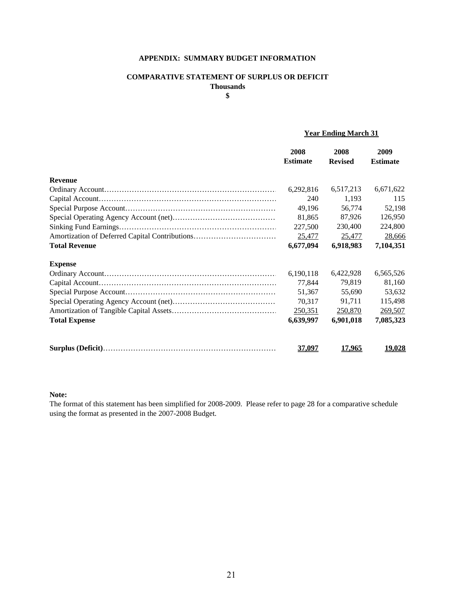#### **APPENDIX: SUMMARY BUDGET INFORMATION**

#### **COMPARATIVE STATEMENT OF SURPLUS OR DEFICIT Thousands**

**\$**

#### **Year Ending March 31**

|                      | 2008<br><b>Estimate</b> | 2008<br><b>Revised</b> | 2009<br><b>Estimate</b> |
|----------------------|-------------------------|------------------------|-------------------------|
| <b>Revenue</b>       |                         |                        |                         |
|                      | 6,292,816               | 6,517,213              | 6,671,622               |
|                      | 240                     | 1,193                  | 115                     |
|                      | 49,196                  | 56,774                 | 52,198                  |
|                      | 81,865                  | 87,926                 | 126,950                 |
|                      | 227,500                 | 230,400                | 224,800                 |
|                      | 25,477                  | 25,477                 | 28,666                  |
| <b>Total Revenue</b> | 6,677,094               | 6,918,983              | 7,104,351               |
| <b>Expense</b>       |                         |                        |                         |
|                      | 6,190,118               | 6,422,928              | 6,565,526               |
|                      | 77,844                  | 79,819                 | 81,160                  |
|                      | 51,367                  | 55,690                 | 53,632                  |
|                      | 70,317                  | 91,711                 | 115,498                 |
|                      | 250,351                 | 250,870                | 269,507                 |
| <b>Total Expense</b> | 6,639,997               | 6,901,018              | 7,085,323               |
|                      | 37,097                  | 17,965                 | 19,028                  |

#### **Note:**

The format of this statement has been simplified for 2008-2009. Please refer to page 28 for a comparative schedule using the format as presented in the 2007-2008 Budget.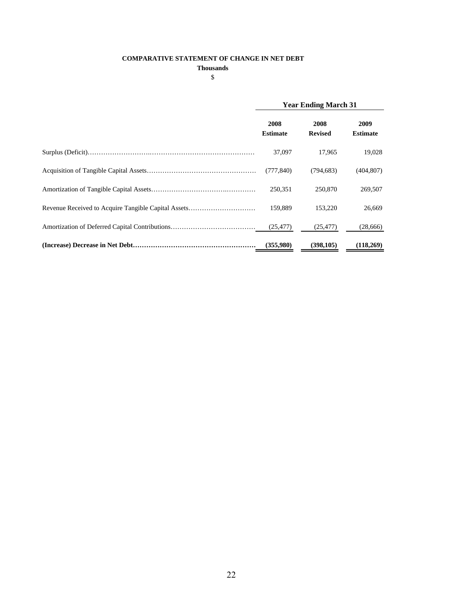#### **COMPARATIVE STATEMENT OF CHANGE IN NET DEBT**

**Thousands**

\$

|                                                     | <b>Year Ending March 31</b> |                        |                         |
|-----------------------------------------------------|-----------------------------|------------------------|-------------------------|
|                                                     | 2008<br><b>Estimate</b>     | 2008<br><b>Revised</b> | 2009<br><b>Estimate</b> |
|                                                     | 37,097                      | 17.965                 | 19,028                  |
|                                                     | (777, 840)                  | (794.683)              | (404, 807)              |
|                                                     | 250,351                     | 250,870                | 269,507                 |
| Revenue Received to Acquire Tangible Capital Assets | 159.889                     | 153,220                | 26,669                  |
|                                                     | (25, 477)                   | (25, 477)              | (28,666)                |
|                                                     | (355,980)                   | (398, 105)             | (118,269)               |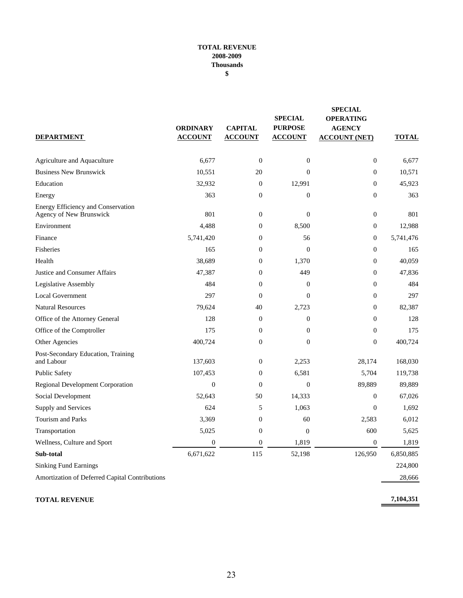#### **TOTAL REVENUE 2008-2009 Thousands \$**

| <b>DEPARTMENT</b>                                             | <b>ORDINARY</b><br><b>ACCOUNT</b> | <b>CAPITAL</b><br><b>ACCOUNT</b> | <b>SPECIAL</b><br><b>PURPOSE</b><br><b>ACCOUNT</b> | <b>SPECIAL</b><br><b>OPERATING</b><br><b>AGENCY</b><br><b>ACCOUNT (NET)</b> | <b>TOTAL</b> |
|---------------------------------------------------------------|-----------------------------------|----------------------------------|----------------------------------------------------|-----------------------------------------------------------------------------|--------------|
| Agriculture and Aquaculture                                   | 6.677                             | $\mathbf{0}$                     | $\overline{0}$                                     | $\boldsymbol{0}$                                                            | 6,677        |
| <b>Business New Brunswick</b>                                 | 10,551                            | 20                               | $\boldsymbol{0}$                                   | $\boldsymbol{0}$                                                            | 10,571       |
| Education                                                     | 32,932                            | $\mathbf{0}$                     | 12,991                                             | $\boldsymbol{0}$                                                            | 45,923       |
| Energy                                                        | 363                               | $\boldsymbol{0}$                 | $\boldsymbol{0}$                                   | $\boldsymbol{0}$                                                            | 363          |
| Energy Efficiency and Conservation<br>Agency of New Brunswick | 801                               | $\boldsymbol{0}$                 | $\boldsymbol{0}$                                   | $\boldsymbol{0}$                                                            | 801          |
| Environment                                                   | 4,488                             | $\boldsymbol{0}$                 | 8,500                                              | $\boldsymbol{0}$                                                            | 12,988       |
| Finance                                                       | 5,741,420                         | $\overline{0}$                   | 56                                                 | $\boldsymbol{0}$                                                            | 5,741,476    |
| Fisheries                                                     | 165                               | $\overline{0}$                   | $\mathbf{0}$                                       | $\boldsymbol{0}$                                                            | 165          |
| Health                                                        | 38,689                            | $\boldsymbol{0}$                 | 1,370                                              | $\boldsymbol{0}$                                                            | 40,059       |
| Justice and Consumer Affairs                                  | 47,387                            | $\boldsymbol{0}$                 | 449                                                | $\boldsymbol{0}$                                                            | 47,836       |
| Legislative Assembly                                          | 484                               | $\overline{0}$                   | $\overline{0}$                                     | $\overline{0}$                                                              | 484          |
| <b>Local Government</b>                                       | 297                               | $\mathbf{0}$                     | $\mathbf{0}$                                       | $\overline{0}$                                                              | 297          |
| <b>Natural Resources</b>                                      | 79,624                            | 40                               | 2,723                                              | $\overline{0}$                                                              | 82,387       |
| Office of the Attorney General                                | 128                               | $\boldsymbol{0}$                 | $\boldsymbol{0}$                                   | $\boldsymbol{0}$                                                            | 128          |
| Office of the Comptroller                                     | 175                               | $\boldsymbol{0}$                 | $\boldsymbol{0}$                                   | $\boldsymbol{0}$                                                            | 175          |
| Other Agencies                                                | 400,724                           | $\boldsymbol{0}$                 | $\overline{0}$                                     | $\boldsymbol{0}$                                                            | 400,724      |
| Post-Secondary Education, Training<br>and Labour              | 137,603                           | $\boldsymbol{0}$                 | 2,253                                              | 28,174                                                                      | 168,030      |
| <b>Public Safety</b>                                          | 107,453                           | $\overline{0}$                   | 6,581                                              | 5,704                                                                       | 119,738      |
| <b>Regional Development Corporation</b>                       | $\overline{0}$                    | $\mathbf{0}$                     | $\mathbf{0}$                                       | 89,889                                                                      | 89,889       |
| Social Development                                            | 52,643                            | 50                               | 14,333                                             | $\boldsymbol{0}$                                                            | 67,026       |
| Supply and Services                                           | 624                               | 5                                | 1,063                                              | $\mathbf{0}$                                                                | 1,692        |
| <b>Tourism and Parks</b>                                      | 3,369                             | $\boldsymbol{0}$                 | 60                                                 | 2,583                                                                       | 6,012        |
| Transportation                                                | 5,025                             | $\boldsymbol{0}$                 | $\overline{0}$                                     | 600                                                                         | 5,625        |
| Wellness, Culture and Sport                                   | $\overline{0}$                    | $\boldsymbol{0}$                 | 1,819                                              | $\overline{0}$                                                              | 1,819        |
| Sub-total                                                     | 6,671,622                         | 115                              | 52,198                                             | 126,950                                                                     | 6,850,885    |
| <b>Sinking Fund Earnings</b>                                  |                                   |                                  |                                                    |                                                                             | 224,800      |
| Amortization of Deferred Capital Contributions                |                                   |                                  |                                                    |                                                                             | 28,666       |
|                                                               |                                   |                                  |                                                    |                                                                             |              |

#### **TOTAL REVENUE**

**7,104,351**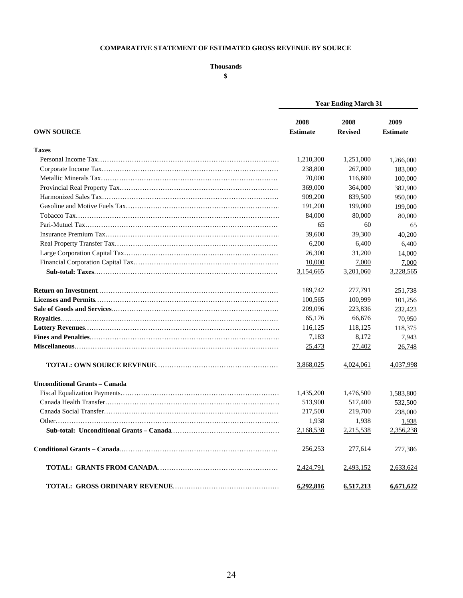#### **COMPARATIVE STATEMENT OF ESTIMATED GROSS REVENUE BY SOURCE**

#### **Thousands**

**\$**

|                                      | <b>Year Ending March 31</b> |                        |                         |  |
|--------------------------------------|-----------------------------|------------------------|-------------------------|--|
| <b>OWN SOURCE</b>                    | 2008<br><b>Estimate</b>     | 2008<br><b>Revised</b> | 2009<br><b>Estimate</b> |  |
| <b>Taxes</b>                         |                             |                        |                         |  |
|                                      | 1,210,300                   | 1,251,000              | 1,266,000               |  |
|                                      | 238,800                     | 267,000                | 183,000                 |  |
|                                      | 70,000                      | 116,600                | 100,000                 |  |
|                                      | 369,000                     | 364,000                | 382,900                 |  |
|                                      | 909,200                     | 839,500                | 950,000                 |  |
|                                      | 191,200                     | 199,000                | 199,000                 |  |
|                                      | 84,000                      | 80,000                 | 80,000                  |  |
|                                      | 65                          | 60                     | 65                      |  |
|                                      | 39,600                      | 39,300                 | 40,200                  |  |
|                                      | 6,200                       | 6,400                  | 6,400                   |  |
|                                      | 26,300                      | 31,200                 | 14,000                  |  |
|                                      | 10,000                      | 7,000                  | 7,000                   |  |
|                                      | 3,154,665                   | 3,201,060              | 3,228,565               |  |
|                                      | 189,742                     | 277,791                | 251,738                 |  |
|                                      | 100,565                     | 100,999                | 101,256                 |  |
|                                      | 209,096                     | 223,836                | 232,423                 |  |
|                                      | 65,176                      | 66,676                 | 70,950                  |  |
|                                      | 116,125                     | 118,125                | 118,375                 |  |
|                                      | 7,183                       | 8,172                  | 7,943                   |  |
|                                      | 25,473                      | 27,402                 | 26,748                  |  |
|                                      | 3,868,025                   | 4,024,061              | 4,037,998               |  |
| <b>Unconditional Grants – Canada</b> |                             |                        |                         |  |
|                                      | 1,435,200                   | 1,476,500              | 1,583,800               |  |
|                                      | 513,900                     | 517,400                | 532,500                 |  |
|                                      | 217,500                     | 219,700                | 238,000                 |  |
|                                      | 1,938                       | 1,938                  | 1,938                   |  |
|                                      | 2,168,538                   | 2,215,538              | 2,356,238               |  |
|                                      | 256,253                     | 277,614                | 277,386                 |  |
|                                      | 2,424,791                   | 2,493,152              | 2,633,624               |  |
|                                      | 6.292.816                   | 6.517.213              | 6.671.622               |  |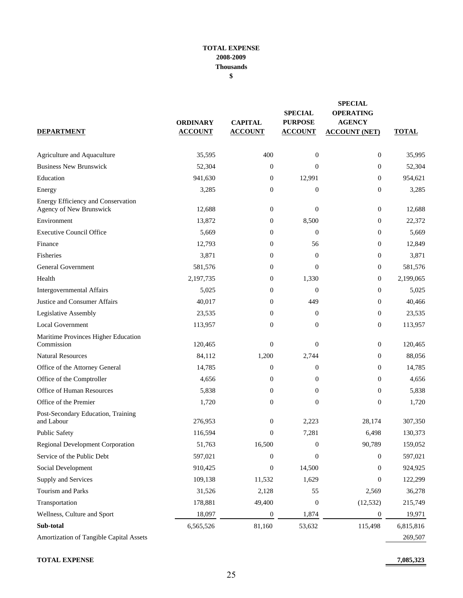#### **TOTAL EXPENSE 2008-2009 Thousands \$**

| <b>DEPARTMENT</b>                                             | <b>ORDINARY</b><br><b>ACCOUNT</b> | <b>CAPITAL</b><br><b>ACCOUNT</b> | <b>SPECIAL</b><br><b>PURPOSE</b><br><b>ACCOUNT</b> | <b>SPECIAL</b><br><b>OPERATING</b><br><b>AGENCY</b><br><b>ACCOUNT (NET)</b> | <b>TOTAL</b> |
|---------------------------------------------------------------|-----------------------------------|----------------------------------|----------------------------------------------------|-----------------------------------------------------------------------------|--------------|
| Agriculture and Aquaculture                                   | 35,595                            | 400                              | $\theta$                                           | $\mathbf{0}$                                                                | 35,995       |
| <b>Business New Brunswick</b>                                 | 52,304                            | $\boldsymbol{0}$                 | $\Omega$                                           | $\mathbf{0}$                                                                | 52,304       |
| Education                                                     | 941.630                           | $\boldsymbol{0}$                 | 12,991                                             | $\mathbf{0}$                                                                | 954,621      |
| Energy                                                        | 3,285                             | $\boldsymbol{0}$                 | $\mathbf{0}$                                       | $\overline{0}$                                                              | 3,285        |
| Energy Efficiency and Conservation<br>Agency of New Brunswick | 12,688                            | $\boldsymbol{0}$                 | $\overline{0}$                                     | $\mathbf{0}$                                                                | 12,688       |
| Environment                                                   | 13,872                            | $\boldsymbol{0}$                 | 8,500                                              | $\mathbf{0}$                                                                | 22,372       |
| <b>Executive Council Office</b>                               | 5,669                             | $\boldsymbol{0}$                 | $\Omega$                                           | $\mathbf{0}$                                                                | 5,669        |
| Finance                                                       | 12,793                            | $\boldsymbol{0}$                 | 56                                                 | $\mathbf{0}$                                                                | 12,849       |
| Fisheries                                                     | 3,871                             | $\boldsymbol{0}$                 | $\theta$                                           | $\overline{0}$                                                              | 3,871        |
| <b>General Government</b>                                     | 581,576                           | $\boldsymbol{0}$                 | $\Omega$                                           | $\overline{0}$                                                              | 581,576      |
| Health                                                        | 2,197,735                         | 0                                | 1,330                                              | $\mathbf{0}$                                                                | 2,199,065    |
| Intergovernmental Affairs                                     | 5,025                             | $\boldsymbol{0}$                 | $\theta$                                           | $\mathbf{0}$                                                                | 5,025        |
| Justice and Consumer Affairs                                  | 40.017                            | $\boldsymbol{0}$                 | 449                                                | $\mathbf{0}$                                                                | 40,466       |
| Legislative Assembly                                          | 23,535                            | $\theta$                         | $\Omega$                                           | $\overline{0}$                                                              | 23,535       |
| <b>Local Government</b>                                       | 113,957                           | $\boldsymbol{0}$                 | $\mathbf{0}$                                       | $\mathbf{0}$                                                                | 113,957      |
| Maritime Provinces Higher Education<br>Commission             | 120,465                           | $\boldsymbol{0}$                 | $\Omega$                                           | $\mathbf{0}$                                                                | 120,465      |
| <b>Natural Resources</b>                                      | 84,112                            | 1,200                            | 2,744                                              | $\mathbf{0}$                                                                | 88,056       |
| Office of the Attorney General                                | 14,785                            | $\boldsymbol{0}$                 | $\theta$                                           | $\overline{0}$                                                              | 14,785       |
| Office of the Comptroller                                     | 4,656                             | $\boldsymbol{0}$                 | $\mathbf{0}$                                       | $\mathbf{0}$                                                                | 4,656        |
| Office of Human Resources                                     | 5,838                             | $\boldsymbol{0}$                 | $\overline{0}$                                     | $\mathbf{0}$                                                                | 5,838        |
| Office of the Premier                                         | 1,720                             | $\boldsymbol{0}$                 | $\mathbf{0}$                                       | $\mathbf{0}$                                                                | 1,720        |
| Post-Secondary Education, Training<br>and Labour              | 276,953                           | $\boldsymbol{0}$                 | 2,223                                              | 28,174                                                                      | 307,350      |
| <b>Public Safety</b>                                          | 116,594                           | $\boldsymbol{0}$                 | 7,281                                              | 6,498                                                                       | 130,373      |
| Regional Development Corporation                              | 51,763                            | 16,500                           | $\mathbf{0}$                                       | 90,789                                                                      | 159,052      |
| Service of the Public Debt                                    | 597,021                           | $\boldsymbol{0}$                 | $\mathbf{0}$                                       | $\mathbf{0}$                                                                | 597,021      |
| Social Development                                            | 910,425                           | $\boldsymbol{0}$                 | 14,500                                             | 0                                                                           | 924,925      |
| Supply and Services                                           | 109,138                           | 11,532                           | 1,629                                              | 0                                                                           | 122,299      |
| Tourism and Parks                                             | 31,526                            | 2,128                            | 55                                                 | 2,569                                                                       | 36,278       |
| Transportation                                                | 178,881                           | 49,400                           | $\boldsymbol{0}$                                   | (12, 532)                                                                   | 215,749      |
| Wellness, Culture and Sport                                   | 18,097                            | $\boldsymbol{0}$                 | 1,874                                              | $\boldsymbol{0}$                                                            | 19,971       |
| Sub-total                                                     | 6,565,526                         | 81,160                           | 53,632                                             | 115,498                                                                     | 6,815,816    |
| Amortization of Tangible Capital Assets                       |                                   |                                  |                                                    |                                                                             | 269,507      |

**TOTAL EXPENSE 7,085,323**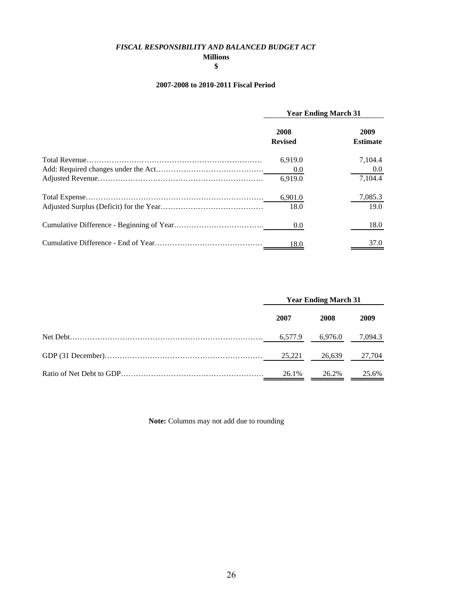#### *FISCAL RESPONSIBILITY AND BALANCED BUDGET ACT*

#### **Millions \$**

## **2007-2008 to 2010-2011 Fiscal Period**

| <b>Year Ending March 31</b> |                           |
|-----------------------------|---------------------------|
| 2008<br><b>Revised</b>      | 2009<br><b>Estimate</b>   |
| 6,919.0<br>0.0<br>6,919.0   | 7.104.4<br>0.0<br>7,104.4 |
| 6,901.0<br>18.0             | 7,085.3<br>19.0           |
| 0.0                         | 18.0                      |
| 18.0                        | 37.0                      |

| <b>Year Ending March 31</b> |         |         |
|-----------------------------|---------|---------|
| 2007                        | 2008    | 2009    |
| 6,577.9                     | 6,976.0 | 7,094.3 |
| 25.221                      | 26,639  | 27,704  |
| 26.1%                       | 26.2%   | 25.6%   |

**Note:** Columns may not add due to rounding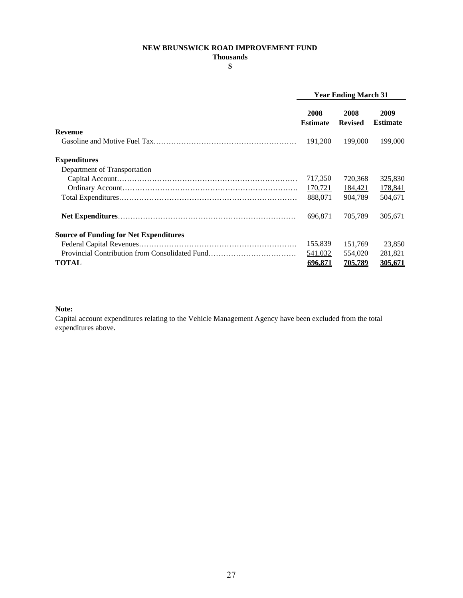#### **NEW BRUNSWICK ROAD IMPROVEMENT FUND**

**Thousands**

**\$**

|                                                | <b>Year Ending March 31</b> |                        |                         |
|------------------------------------------------|-----------------------------|------------------------|-------------------------|
|                                                | 2008<br><b>Estimate</b>     | 2008<br><b>Revised</b> | 2009<br><b>Estimate</b> |
| <b>Revenue</b>                                 |                             |                        |                         |
|                                                | 191,200                     | 199,000                | 199,000                 |
| <b>Expenditures</b>                            |                             |                        |                         |
| Department of Transportation                   |                             |                        |                         |
|                                                | 717,350                     | 720,368                | 325,830                 |
|                                                | 170,721                     | 184,421                | 178,841                 |
|                                                | 888.071                     | 904.789                | 504,671                 |
|                                                | 696.871                     | 705,789                | 305,671                 |
| <b>Source of Funding for Net Expenditures</b>  |                             |                        |                         |
|                                                | 155,839                     | 151,769                | 23,850                  |
| Provincial Contribution from Consolidated Fund | 541,032                     | 554,020                | 281,821                 |
| <b>TOTAL</b>                                   | 696.871                     | 705,789                | 305,671                 |

#### **Note:**

Capital account expenditures relating to the Vehicle Management Agency have been excluded from the total expenditures above.